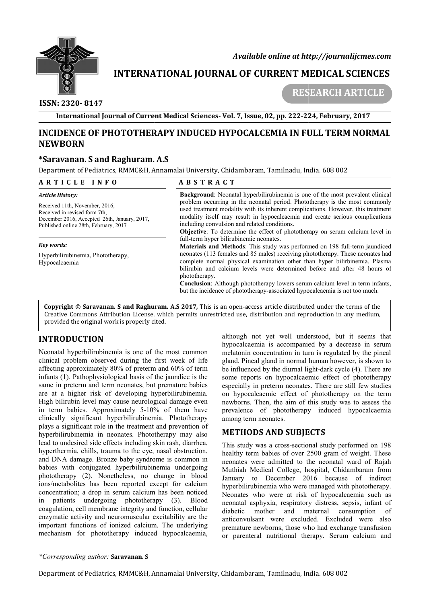

 *Available online at http://journalijcmes.com*

# **INTERNATIONAL JOURNAL OF CURRENT MEDICAL SCIENCES SCIENCES**

## **ISSN: 2320- 8147**

 **RESEARCH ARTICLE**

**International Journal of Current Medical Sciences Sciences- Vol. 7, Issue, 02, pp. 222-224**

# **INCIDENCE OF PHOTOTHERAPY INDUCED HYPOCALCEMIA IN FULL TERM NORMAL NEWBORN**

#### **\*Saravanan. S and Raghuram. A.S**

| <b>NEWBORN</b>                                                                                                                                                                                                                                                                                                                                                                                                                                                                                                                                                                                                                                                                                                                                                     | INCIDENCE OF PHOTOTHERAPY INDUCED HYPOCALCEMIA IN FULL TERM NORMAL                                                                                                                                                                                                                                                                                                                                                                                                                                                                                                                                                                                                                                                                                                                                                                                                                                                                                                                                                      |  |  |
|--------------------------------------------------------------------------------------------------------------------------------------------------------------------------------------------------------------------------------------------------------------------------------------------------------------------------------------------------------------------------------------------------------------------------------------------------------------------------------------------------------------------------------------------------------------------------------------------------------------------------------------------------------------------------------------------------------------------------------------------------------------------|-------------------------------------------------------------------------------------------------------------------------------------------------------------------------------------------------------------------------------------------------------------------------------------------------------------------------------------------------------------------------------------------------------------------------------------------------------------------------------------------------------------------------------------------------------------------------------------------------------------------------------------------------------------------------------------------------------------------------------------------------------------------------------------------------------------------------------------------------------------------------------------------------------------------------------------------------------------------------------------------------------------------------|--|--|
| *Saravanan. S and Raghuram. A.S                                                                                                                                                                                                                                                                                                                                                                                                                                                                                                                                                                                                                                                                                                                                    |                                                                                                                                                                                                                                                                                                                                                                                                                                                                                                                                                                                                                                                                                                                                                                                                                                                                                                                                                                                                                         |  |  |
| Department of Pediatrics, RMMC&H, Annamalai University, Chidambaram, Tamilnadu, India. 608 002                                                                                                                                                                                                                                                                                                                                                                                                                                                                                                                                                                                                                                                                     |                                                                                                                                                                                                                                                                                                                                                                                                                                                                                                                                                                                                                                                                                                                                                                                                                                                                                                                                                                                                                         |  |  |
| ARTICLE INFO                                                                                                                                                                                                                                                                                                                                                                                                                                                                                                                                                                                                                                                                                                                                                       | <b>ABSTRACT</b>                                                                                                                                                                                                                                                                                                                                                                                                                                                                                                                                                                                                                                                                                                                                                                                                                                                                                                                                                                                                         |  |  |
| Article History:<br>Received 11th, November, 2016,<br>Received in revised form 7th,<br>December 2016, Accepted 26th, January, 2017,<br>Published online 28th, February, 2017                                                                                                                                                                                                                                                                                                                                                                                                                                                                                                                                                                                       | Background: Neonatal hyperbilirubinemia is one of the most prevalent clinical<br>problem occurring in the neonatal period. Phototherapy is the most commonly<br>used treatment modality with its inherent complications. However, this treatment<br>modality itself may result in hypocalcaemia and create serious complications<br>including convulsion and related conditions.<br>Objective: To determine the effect of phototherapy on serum calcium level in<br>full-term hyper bilirubinemic neonates.<br>Materials and Methods: This study was performed on 198 full-term jaundiced<br>neonates (113 females and 85 males) receiving phototherapy. These neonates had<br>complete normal physical examination other than hyper bilirbinemia. Plasma<br>bilirubin and calcium levels were determined before and after 48 hours of<br>phototherapy.<br>Conclusion: Although phototherapy lowers serum calcium level in term infants,<br>but the incidence of phototherapy-associated hypocalcaemia is not too much. |  |  |
| Key words:<br>Hyperbilirubinemia, Phototherapy,<br>Hypocalcaemia                                                                                                                                                                                                                                                                                                                                                                                                                                                                                                                                                                                                                                                                                                   |                                                                                                                                                                                                                                                                                                                                                                                                                                                                                                                                                                                                                                                                                                                                                                                                                                                                                                                                                                                                                         |  |  |
| provided the original work is properly cited.                                                                                                                                                                                                                                                                                                                                                                                                                                                                                                                                                                                                                                                                                                                      | Copyright © Saravanan. S and Raghuram. A.S 2017, This is an open-access article distributed under the terms of the<br>Creative Commons Attribution License, which permits unrestricted use, distribution and reproduction in any medium,                                                                                                                                                                                                                                                                                                                                                                                                                                                                                                                                                                                                                                                                                                                                                                                |  |  |
| <b>INTRODUCTION</b><br>Neonatal hyperbilirubinemia is one of the most common<br>clinical problem observed during the first week of life<br>affecting approximately 80% of preterm and 60% of term<br>infants (1). Pathophysiological basis of the jaundice is the<br>same in preterm and term neonates, but premature babies<br>are at a higher risk of developing hyperbilirubinemia.<br>High bilirubin level may cause neurological damage even<br>in term babies. Approximately 5-10% of them have<br>clinically significant hyperbilirubinemia. Phototherapy<br>plays a significant role in the treatment and prevention of                                                                                                                                    | although not yet well understood, but it seems that<br>hypocalcaemia is accompanied by a decrease in serum<br>melatonin concentration in turn is regulated by the pineal<br>gland. Pineal gland in normal human however, is shown to<br>be influenced by the diurnal light-dark cycle (4). There are<br>some reports on hypocalcaemic effect of phototherapy<br>especially in preterm neonates. There are still few studies<br>on hypocalcaemic effect of phototherapy on the term<br>newborns. Then, the aim of this study was to assess the<br>prevalence of phototherapy induced hypocalcaemia<br>among term neonates.<br><b>METHODS AND SUBIECTS</b>                                                                                                                                                                                                                                                                                                                                                                |  |  |
| hyperbilirubinemia in neonates. Phototherapy may also<br>lead to undesired side effects including skin rash, diarrhea,<br>hyperthermia, chills, trauma to the eye, nasal obstruction,<br>and DNA damage. Bronze baby syndrome is common in<br>babies with conjugated hyperbilirubinemia undergoing<br>phototherapy (2). Nonetheless, no change in blood<br>ions/metabolites has been reported except for calcium<br>concentration; a drop in serum calcium has been noticed<br>in patients undergoing phototherapy (3).<br>coagulation, cell membrane integrity and function, cellular<br>enzymatic activity and neuromuscular excitability are the<br>important functions of ionized calcium. The underlying<br>mechanism for phototherapy induced hypocalcaemia, | This study was a cross-sectional study performed on 198<br>healthy term babies of over 2500 gram of weight. These<br>neonates were admitted to the neonatal ward of Rajah<br>Muthiah Medical College, hospital, Chidambaram from<br>January to December 2016 because of indirect<br>hyperbilirubinemia who were managed with phototherapy.<br>Neonates who were at risk of hypocalcaemia such as<br><b>Blood</b><br>neonatal asphyxia, respiratory distress, sepsis, infant of<br>mother<br>maternal consumption<br>diabetic<br>and<br>- of<br>anticonvulsant were excluded. Excluded were also<br>premature newborns, those who had exchange transfusion<br>or parenteral nutritional therapy. Serum calcium and                                                                                                                                                                                                                                                                                                       |  |  |
| *Corresponding author: Saravanan. S                                                                                                                                                                                                                                                                                                                                                                                                                                                                                                                                                                                                                                                                                                                                |                                                                                                                                                                                                                                                                                                                                                                                                                                                                                                                                                                                                                                                                                                                                                                                                                                                                                                                                                                                                                         |  |  |
| Department of Pediatrics, RMMC&H, Annamalai University, Chidambaram, Tamilnadu, India. 608 002                                                                                                                                                                                                                                                                                                                                                                                                                                                                                                                                                                                                                                                                     |                                                                                                                                                                                                                                                                                                                                                                                                                                                                                                                                                                                                                                                                                                                                                                                                                                                                                                                                                                                                                         |  |  |

## **INTRODUCTION**

#### **METHODS AND SUBJECTS SUBJECTS**

*<sup>\*</sup>Corresponding author:* **Saravanan. S**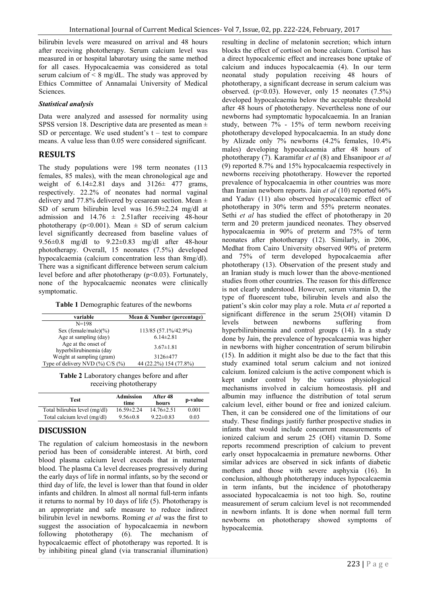bilirubin levels were measured on arrival and 48 hours after receiving phototherapy. Serum calcium level was measured in or hospital labarotary using the same method for all cases. Hypocalcaemia was considered as total serum calcium of  $\leq 8$  mg/dL. The study was approved by Ethics Committee of Annamalai University of Medical Sciences.

#### *Statistical analysis*

Data were analyzed and assessed for normality using SPSS version 18. Descriptive data are presented as mean  $\pm$ SD or percentage. We used student's  $t - \text{test}$  to compare means. A value less than 0.05 were considered significant.

## **RESULTS**

The study populations were 198 term neonates (113 females, 85 males), with the mean chronological age and weight of  $6.14\pm2.81$  days and  $3126\pm 477$  grams, respectively. 22.2% of neonates had normal vaginal delivery and 77.8% delivered by cesarean section. Mean  $\pm$ SD of serum bilirubin level was 16.59±2.24 mg/dl at admission and  $14.76 \pm 2.51$  after receiving 48-hour phototherapy ( $p \le 0.001$ ). Mean  $\pm$  SD of serum calcium level significantly decreased from baseline values of 9.56±0.8 mg/dl to 9.22±0.83 mg/dl after 48-hour phototherapy. Overall, 15 neonates (7.5%) developed hypocalcaemia (calcium concentration less than 8mg/dl). There was a significant difference between serum calcium level before and after phototherapy (p<0.03). Fortunately, none of the hypocalcaemic neonates were clinically symptomatic.

| $N = 198$                              |                        |  |
|----------------------------------------|------------------------|--|
|                                        |                        |  |
| Sex (female/male) $(\% )$              | 113/85 (57.1%/42.9%)   |  |
| Age at sampling (day)                  | $6.14 \pm 2.81$        |  |
| Age at the onset of                    | $3.67 \pm 1.81$        |  |
| hyperbilirubinemia (day                |                        |  |
| Weight at sampling (gram)              | 3126±477               |  |
| Type of delivery NVD $(\%$ ) C/S $(\%$ | 44 (22.2%) 154 (77.8%) |  |

receiving phototherapy

| Test                          | Admission<br>time | After 48<br>hours | p-value |
|-------------------------------|-------------------|-------------------|---------|
| Total bilirubin level (mg/dl) | $16.59 \pm 2.24$  | $14.76 \pm 2.51$  | 0.001   |
| Total calcium level (mg/dl)   | $9.56 \pm 0.8$    | $9.22 \pm 0.83$   | 0.03    |

## **DISCUSSION**

The regulation of calcium homeostasis in the newborn period has been of considerable interest. At birth, cord blood plasma calcium level exceeds that in maternal blood. The plasma Ca level decreases progressively during the early days of life in normal infants, so by the second or third day of life, the level is lower than that found in older infants and children. In almost all normal full-term infants it returns to normal by 10 days of life (5). Phototherapy is an appropriate and safe measure to reduce indirect bilirubin level in newborns. Roming *et al* was the first to suggest the association of hypocalcaemia in newborn following phototherapy (6). The mechanism of hypocalcaemic effect of phototherapy was reported. It is by inhibiting pineal gland (via transcranial illumination)

resulting in decline of melatonin secretion; which inturn blocks the effect of cortisol on bone calcium. Cortisol has a direct hypocalcemic effect and increases bone uptake of calcium and induces hypocalcaemia (4). In our term neonatal study population receiving 48 hours of phototherapy, a significant decrease in serum calcium was observed.  $(p<0.03)$ . However, only 15 neonates  $(7.5\%)$ developed hypocalcaemia below the acceptable threshold after 48 hours of phototherapy. Nevertheless none of our newborns had symptomatic hypocalcaemia. In an Iranian study, between 7% - 15% of term newborn receiving phototherapy developed hypocalcaemia. In an study done by Alizade only 7% newborns (4.2% females, 10.4% males) developing hypocalcaemia after 48 hours of phototherapy (7). Karamifar *et al* (8) and Ehsanipoor *et al* (9) reported 8.7% and 15% hypocalcaemia respectively in newborns receiving phototherapy. However the reported prevalence of hypocalcaemia in other countries was more than Iranian newborn reports. Jain *et al* (10) reported 66% and Yadav (11) also observed hypocalcaemic effect of phototherapy in 30% term and 55% preterm neonates. Sethi *et al* has studied the effect of phototherapy in 20 term and 20 preterm jaundiced neonates. They observed hypocalcaemia in 90% of preterm and 75% of term neonates after phototherapy (12). Similarly, in 2006, Medhat from Cairo University observed 90% of preterm and 75% of term developed hypocalcaemia after phototherapy (13). Observation of the present study and an Iranian study is much lower than the above-mentioned studies from other countries. The reason for this difference is not clearly understood. However, serum vitamin D, the type of fluorescent tube, bilirubin levels and also the patient's skin color may play a role. Muta *et al* reported a significant difference in the serum 25(OH) vitamin D levels between newborns suffering from hyperbilirubinemia and control groups (14). In a study done by Jain, the prevalence of hypocalcaemia was higher in newborns with higher concentration of serum bilirubin (15). In addition it might also be due to the fact that this study examined total serum calcium and not ionized calcium. Ionized calcium is the active component which is kept under control by the various physiological mechanisms involved in calcium homeostasis. pH and albumin may influence the distribution of total serum calcium level, either bound or free and ionized calcium. Then, it can be considered one of the limitations of our study. These findings justify further prospective studies in infants that would include concurrent measurements of ionized calcium and serum 25 (OH) vitamin D. Some reports recommend prescription of calcium to prevent early onset hypocalcaemia in premature newborns. Other similar advices are observed in sick infants of diabetic mothers and those with severe asphyxia (16). In conclusion, although phototherapy induces hypocalcaemia in term infants, but the incidence of phototherapy associated hypocalcaemia is not too high. So, routine measurement of serum calcium level is not recommended in newborn infants. It is done when normal full term newborns on phototherapy showed symptoms of hypocalcemia.